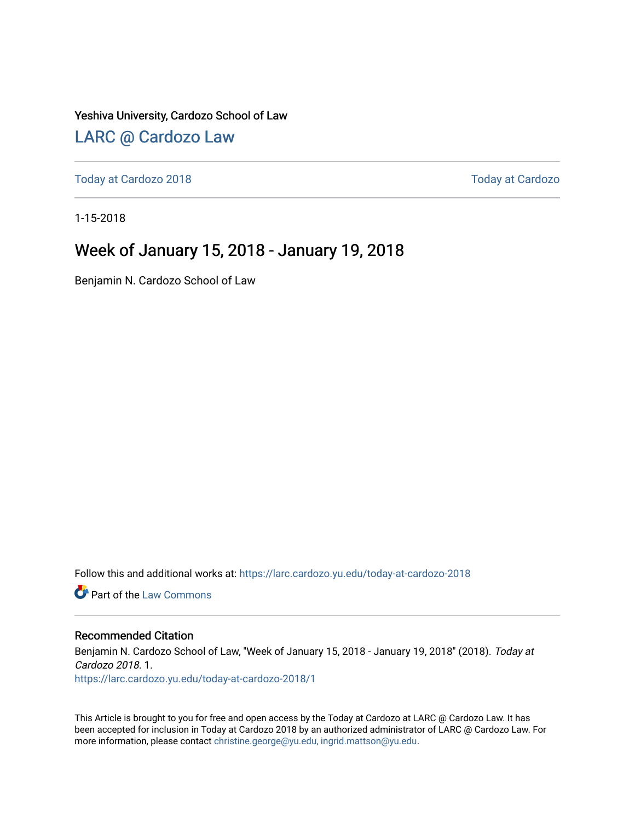#### Yeshiva University, Cardozo School of Law

#### [LARC @ Cardozo Law](https://larc.cardozo.yu.edu/)

[Today at Cardozo 2018](https://larc.cardozo.yu.edu/today-at-cardozo-2018) [Today at Cardozo](https://larc.cardozo.yu.edu/today-at-cardozo) 

1-15-2018

#### Week of January 15, 2018 - January 19, 2018

Benjamin N. Cardozo School of Law

Follow this and additional works at: [https://larc.cardozo.yu.edu/today-at-cardozo-2018](https://larc.cardozo.yu.edu/today-at-cardozo-2018?utm_source=larc.cardozo.yu.edu%2Ftoday-at-cardozo-2018%2F1&utm_medium=PDF&utm_campaign=PDFCoverPages)

**C** Part of the [Law Commons](http://network.bepress.com/hgg/discipline/578?utm_source=larc.cardozo.yu.edu%2Ftoday-at-cardozo-2018%2F1&utm_medium=PDF&utm_campaign=PDFCoverPages)

#### Recommended Citation

Benjamin N. Cardozo School of Law, "Week of January 15, 2018 - January 19, 2018" (2018). Today at Cardozo 2018. 1. [https://larc.cardozo.yu.edu/today-at-cardozo-2018/1](https://larc.cardozo.yu.edu/today-at-cardozo-2018/1?utm_source=larc.cardozo.yu.edu%2Ftoday-at-cardozo-2018%2F1&utm_medium=PDF&utm_campaign=PDFCoverPages) 

This Article is brought to you for free and open access by the Today at Cardozo at LARC @ Cardozo Law. It has been accepted for inclusion in Today at Cardozo 2018 by an authorized administrator of LARC @ Cardozo Law. For more information, please contact [christine.george@yu.edu, ingrid.mattson@yu.edu](mailto:christine.george@yu.edu,%20ingrid.mattson@yu.edu).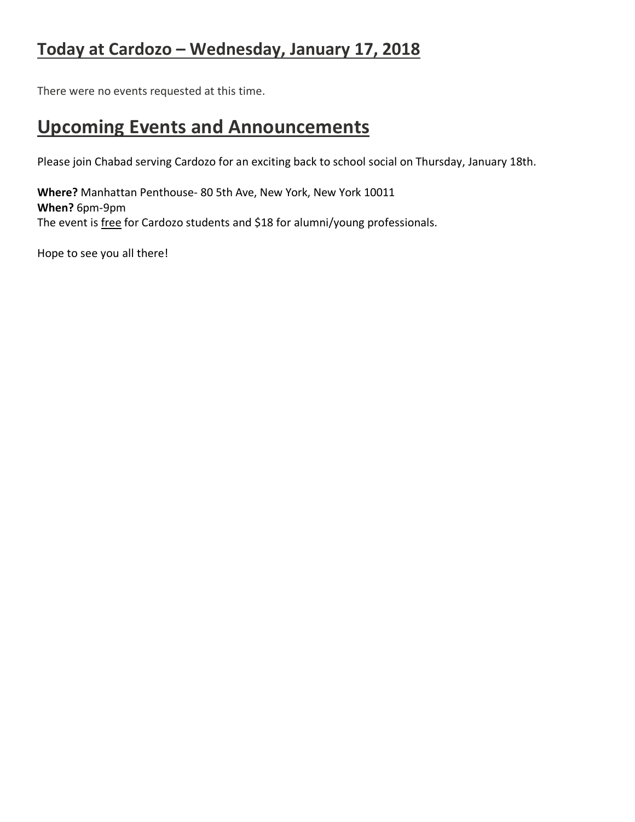### **Today at Cardozo – Wednesday, January 17, 2018**

There were no events requested at this time.

### **Upcoming Events and Announcements**

Please join Chabad serving Cardozo for an exciting back to school social on Thursday, January 18th.

**Where?** Manhattan Penthouse- 80 5th Ave, New York, New York 10011 **When?** 6pm-9pm The event is free for Cardozo students and \$18 for alumni/young professionals.

Hope to see you all there!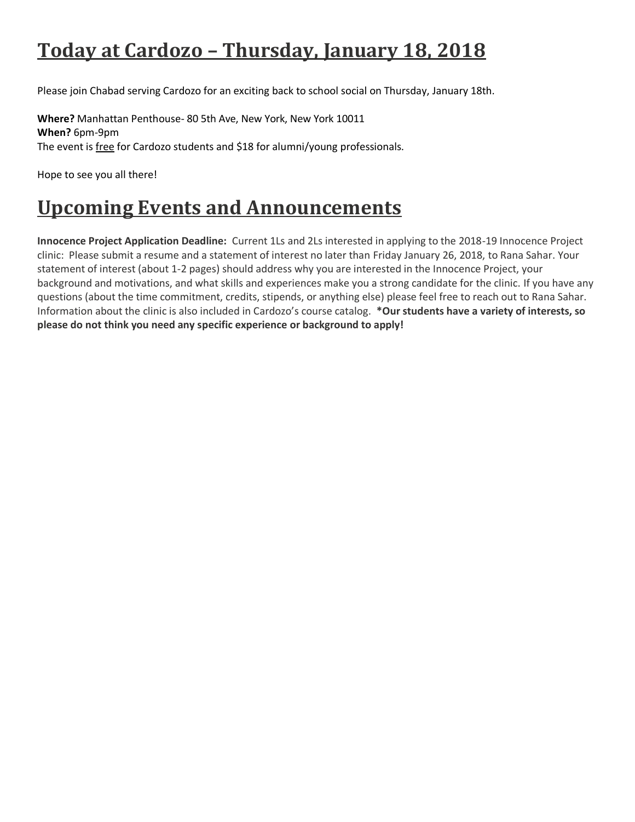# **Today at Cardozo – Thursday, January 18, 2018**

Please join Chabad serving Cardozo for an exciting back to school social on Thursday, January 18th.

**Where?** Manhattan Penthouse- 80 5th Ave, New York, New York 10011 **When?** 6pm-9pm The event is free for Cardozo students and \$18 for alumni/young professionals.

Hope to see you all there!

## **Upcoming Events and Announcements**

**Innocence Project Application Deadline:** Current 1Ls and 2Ls interested in applying to the 2018-19 Innocence Project clinic: Please submit a resume and a statement of interest no later than Friday January 26, 2018, to Rana Sahar. Your statement of interest (about 1-2 pages) should address why you are interested in the Innocence Project, your background and motivations, and what skills and experiences make you a strong candidate for the clinic. If you have any questions (about the time commitment, credits, stipends, or anything else) please feel free to reach out to Rana Sahar. Information about the clinic is also included in Cardozo's course catalog. **\*Our students have a variety of interests, so please do not think you need any specific experience or background to apply!**